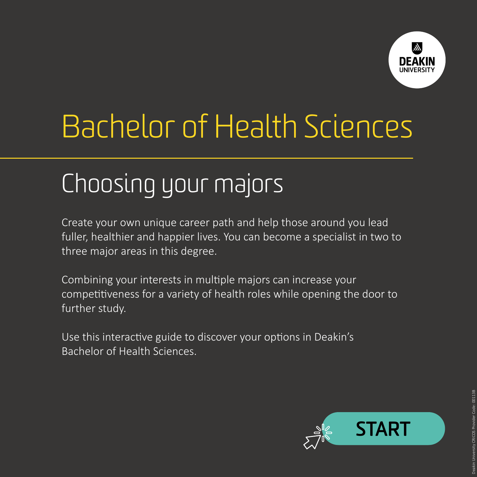

# Bachelor of Health Sciences

# Choosing your majors

Create your own unique career path and help those around you lead fuller, healthier and happier lives. You can become a specialist in two to three major areas in this degree.

Combining your interests in multiple majors can increase your competitiveness for a variety of health roles while opening the door to further study.

Use this interactive guide to discover your options in Deakin's Bachelor of Health Sciences.

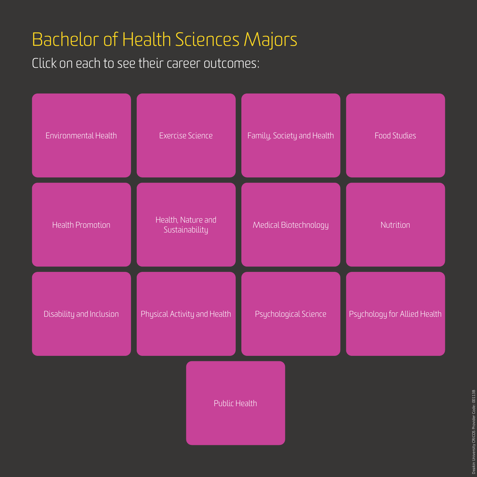## <span id="page-1-0"></span>Bachelor of Health Sciences Majors

Click on each to see their career outcomes:

| Environmental Health     | <b>Exercise Science</b>              | Family, Society and Health | <b>Food Studies</b>          |
|--------------------------|--------------------------------------|----------------------------|------------------------------|
| Health Promotion         | Health, Nature and<br>Sustainability | Medical Biotechnology      | Nutrition                    |
| Disability and Inclusion | Physical Activity and Health         | Psychological Science      | Psychology for Allied Health |
| Public Health            |                                      |                            |                              |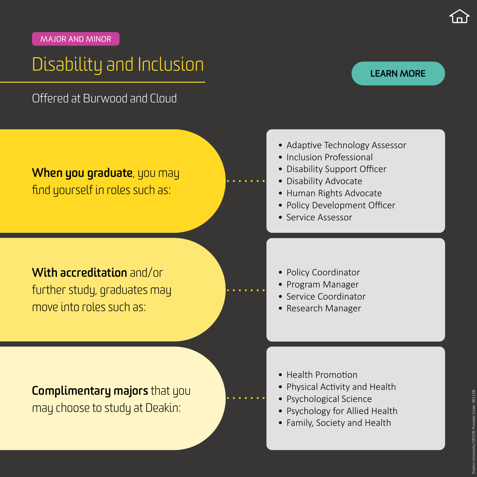#### <span id="page-2-0"></span>MA JOR AND MINOR

### Disability and Inclusion

Offered at Burwood and Cloud

### **When you graduate**, you may find yourself in roles such as:

**With accreditation** and/or further study, graduates may move into roles such as:

- Adaptive Technology Assessor
- Inclusion Professional
- Disability Support Officer
- Disability Advocate
- Human Rights Advocate
- Policy Development Officer
- Service Assessor
- Policy Coordinator
- Program Manager
- Service Coordinator
- Research Manager

- Health Promotion
- Physical Activity and Health
- Psychological Science
- Psychology for Allied Health
- Family, Society and Health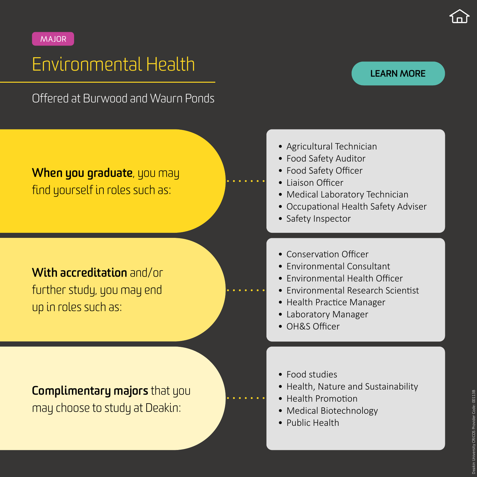## <span id="page-3-0"></span>Environmental Health

Offered at Burwood and Waurn Ponds

### **When you graduate**, you may find yourself in roles such as:

**With accreditation** and/or further study, you may end up in roles such as:

**Complimentary majors** that you may choose to study at Deakin:

- Agricultural Technician
- Food Safety Auditor
- Food Safety Officer
- Liaison Officer
- Medical Laboratory Technician
- Occupational Health Safety Adviser
- Safety Inspector
- Conservation Officer
- Environmental Consultant
- Environmental Health Officer
- Environmental Research Scientist
- Health Practice Manager
- Laboratory Manager
- OH&S Officer
- Food studies
- Health, Nature and Sustainability
- Health Promotion
- Medical Biotechnology
- Public Health

#### **[LEARN MORE](https://www.deakin.edu.au/courses/major/environmental-health-bachelor-health-sciences)**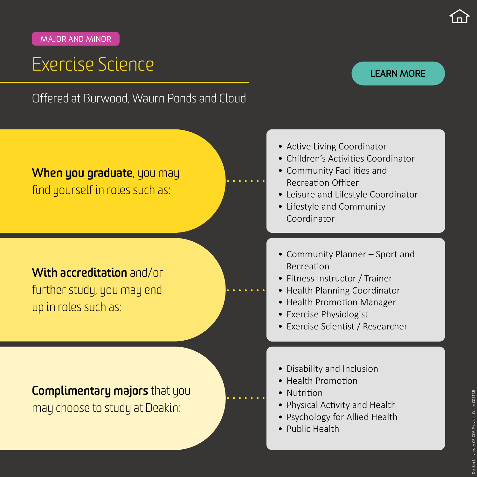## <span id="page-4-0"></span>Exercise Science

#### **[LEARN MORE](https://www.deakin.edu.au/courses/major/exercise-science-bachelor-health-sciences)**

**When you graduate**, you may find yourself in roles such as: **With accreditation** and/or

Offered at Burwood, Waurn Ponds and Cloud

further study, you may end up in roles such as:

- Active Living Coordinator
- Children's Activities Coordinator
- Community Facilities and Recreation Officer
- Leisure and Lifestyle Coordinator
- Lifestyle and Community Coordinator
- Community Planner Sport and Recreation
- Fitness Instructor / Trainer
- Health Planning Coordinator
- Health Promotion Manager
- Exercise Physiologist
- Exercise Scientist / Researcher
- Disability and Inclusion
- Health Promotion
- Nutrition
- Physical Activity and Health
- Psychology for Allied Health
- Public Health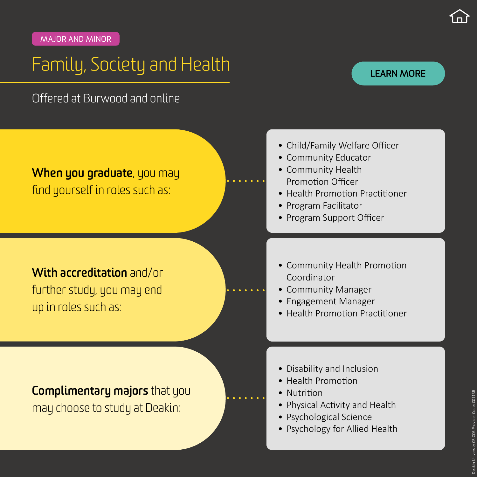## <span id="page-5-0"></span>Family, Society and Health

#### Offered at Burwood and online

#### **[LEARN MORE](https://www.deakin.edu.au/courses/major/family-society-and-health-bachelor-health-sciences)**



further study, you may end up in roles such as:

- Child/Family Welfare Officer
- Community Educator
- Community Health Promotion Officer
- Health Promotion Practitioner
- Program Facilitator
- Program Support Officer
- Community Health Promotion Coordinator
- Community Manager
- Engagement Manager
- Health Promotion Practitioner
- Disability and Inclusion
- Health Promotion
- Nutrition
- Physical Activity and Health
- Psychological Science
- Psychology for Allied Health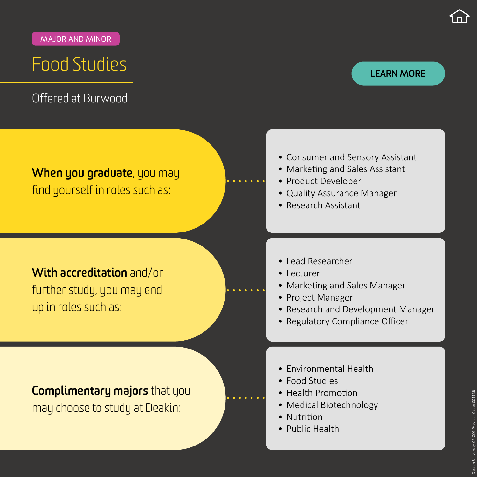## <span id="page-6-0"></span>Food Studies

Offered at Burwood

#### **[LEARN MORE](https://www.deakin.edu.au/courses/major/food-studies-bachelor-health-sciences)**

### **When you graduate**, you may find yourself in roles such as:

### **With accreditation** and/or further study, you may end up in roles such as:

- Consumer and Sensory Assistant
- Marketing and Sales Assistant
- Product Developer
- Quality Assurance Manager
- Research Assistant
- Lead Researcher
- Lecturer
- Marketing and Sales Manager
- Project Manager
- Research and Development Manager
- Regulatory Compliance Officer
- Environmental Health
- Food Studies
- Health Promotion
- Medical Biotechnology
- Nutrition
- Public Health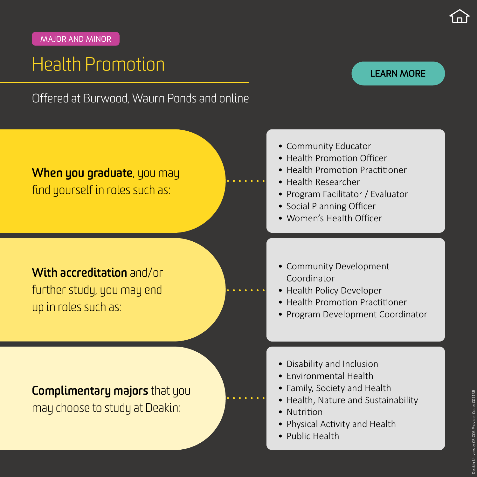## <span id="page-7-0"></span>Health Promotion

#### **[LEARN MORE](https://www.deakin.edu.au/courses/major/health-promotion-bachelor-health-sciences)**

Offered at Burwood, Waurn Ponds and online

### **When you graduate**, you may find yourself in roles such as:

### **With accreditation** and/or further study, you may end up in roles such as:

- Community Educator
- Health Promotion Officer
- Health Promotion Practitioner
- Health Researcher
- Program Facilitator / Evaluator
- Social Planning Officer
- Women's Health Officer
- Community Development Coordinator
- Health Policy Developer
- Health Promotion Practitioner
- Program Development Coordinator
- Disability and Inclusion
- Environmental Health
- Family, Society and Health
- Health, Nature and Sustainability
- Nutrition
- Physical Activity and Health
- Public Health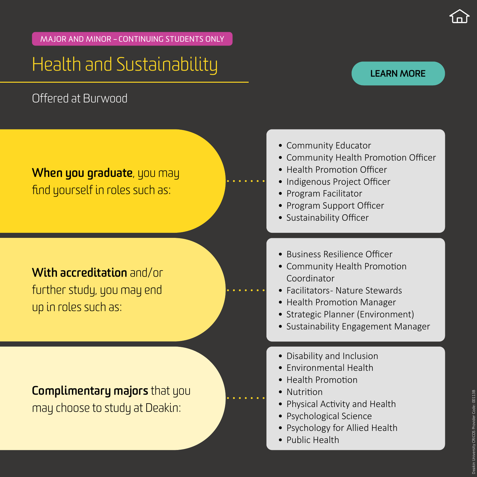MA JOR AND MINOR – CONTINUING STUDENTS ONLY

## Health and Sustainability

Offered at Burwood

#### **[LEARN MORE](https://www.deakin.edu.au/courses/major/health-and-sustainability-bachelor-health-sciences)**

### **When you graduate**, you may find yourself in roles such as:

### **With accreditation** and/or further study, you may end up in roles such as:

- Community Educator
- Community Health Promotion Officer
- Health Promotion Officer
- Indigenous Project Officer
- Program Facilitator
- Program Support Officer
- Sustainability Officer
- Business Resilience Officer
- Community Health Promotion Coordinator
- Facilitators Nature Stewards
- Health Promotion Manager
- Strategic Planner (Environment)
- Sustainability Engagement Manager
- Disability and Inclusion
- Environmental Health
- Health Promotion
- Nutrition
- Physical Activity and Health
- Psychological Science
- Psychology for Allied Health
- Public Health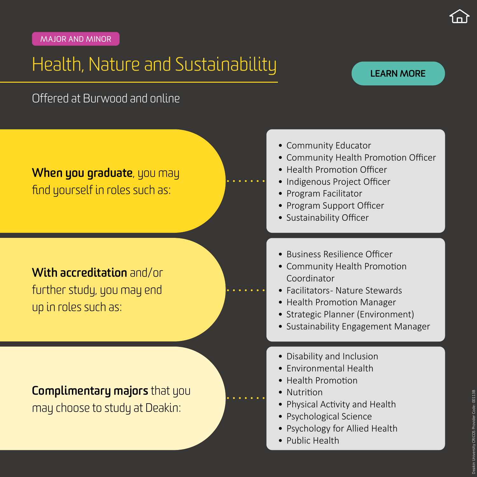## <span id="page-9-0"></span>Health, Nature and Sustainability

#### **[LEARN MORE](https://www.deakin.edu.au/courses/major/health-nature-and-sustainability-bachelor-health-sciences)**

Offered at Burwood and online

### **When you graduate**, you may find yourself in roles such as:

### **With accreditation** and/or further study, you may end up in roles such as:

- Community Educator
- Community Health Promotion Officer
- Health Promotion Officer
- Indigenous Project Officer
- Program Facilitator
- Program Support Officer
- Sustainability Officer
- Business Resilience Officer
- Community Health Promotion Coordinator
- Facilitators Nature Stewards
- Health Promotion Manager
- Strategic Planner (Environment)
- Sustainability Engagement Manager
- Disability and Inclusion
- Environmental Health
- Health Promotion
- Nutrition
- Physical Activity and Health
- Psychological Science
- Psychology for Allied Health
- Public Health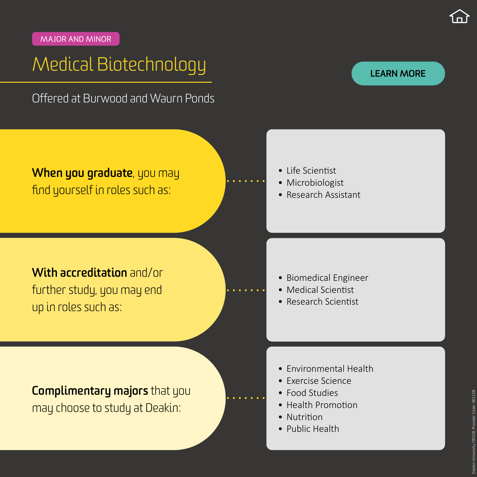## <span id="page-10-0"></span>Medical Biotechnology

Offered at Burwood and Waurn Ponds

#### **[LEARN MORE](https://www.deakin.edu.au/courses/major/medical-biotechnology-bachelor-health-sciences)**

**When you graduate**, you may find yourself in roles such as:

- Life Scientist
- Microbiologist
- Research Assistant

**With accreditation** and/or further study, you may end up in roles such as:

- Biomedical Engineer
- Medical Scientist
- Research Scientist

- Environmental Health
- Exercise Science
- Food Studies
- Health Promotion
- Nutrition
- Public Health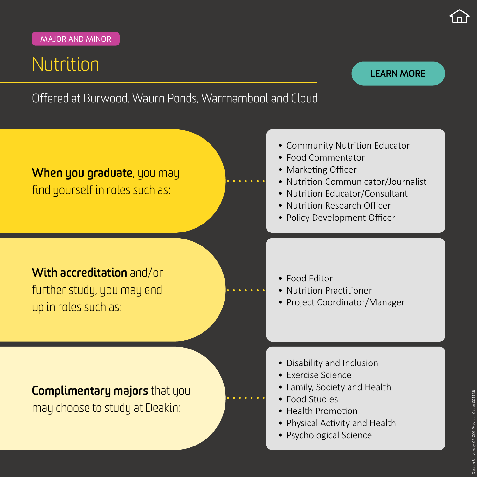may choose to study at Deakin:

## <span id="page-11-0"></span>Nutrition

#### **[LEARN MORE](https://www.deakin.edu.au/courses/major/nutrition-bachelor-health-sciences)**

Offered at Burwood, Waurn Ponds, Warrnambool and Cloud



- Food Studies
- Health Promotion
- Physical Activity and Health
- Psychological Science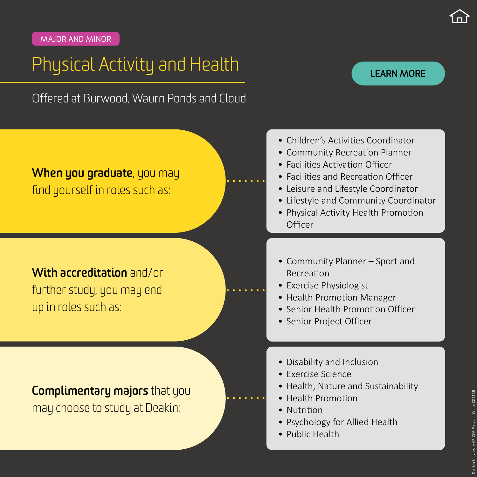<span id="page-12-0"></span>MA JOR AND MINOR

## Physical Activity and Health

#### **[LEARN MORE](https://www.deakin.edu.au/courses/major/exercise-science-bachelor-health-sciences)**

Offered at Burwood, Waurn Ponds and Cloud

### **When you graduate**, you may find yourself in roles such as:

### **With accreditation** and/or further study, you may end up in roles such as:

- Children's Activities Coordinator
- Community Recreation Planner
- Facilities Activation Officer
- Facilities and Recreation Officer
- Leisure and Lifestyle Coordinator
- Lifestyle and Community Coordinator
- Physical Activity Health Promotion **Officer**
- Community Planner Sport and Recreation
- Exercise Physiologist
- Health Promotion Manager
- Senior Health Promotion Officer
- Senior Project Officer
- Disability and Inclusion
- Exercise Science
- Health, Nature and Sustainability
- Health Promotion
- Nutrition
- Psychology for Allied Health
- Public Health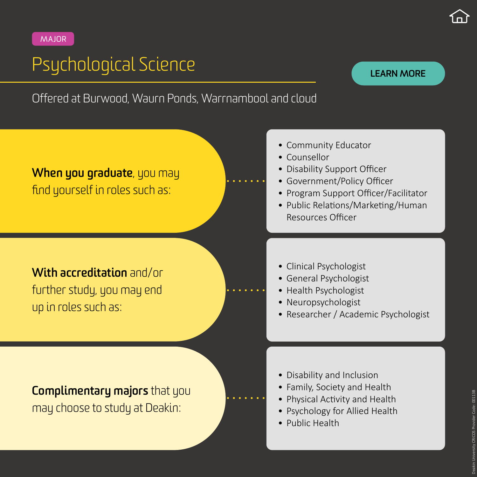## <span id="page-13-0"></span>Psychological Science

#### **[LEARN MORE](https://www.deakin.edu.au/courses/major/psychological-science-bachelor-health-sciences)**

Offered at Burwood, Waurn Ponds, Warrnambool and cloud



**With accreditation** and/or further study, you may end up in roles such as:

- Community Educator
- Counsellor
- Disability Support Officer
- Government/Policy Officer
- Program Support Officer/Facilitator
- Public Relations/Marketing/Human Resources Officer
- Clinical Psychologist
- General Psychologist
- Health Psychologist
- Neuropsychologist
- Researcher / Academic Psychologist

- Disability and Inclusion
- Family, Society and Health
- Physical Activity and Health
- Psychology for Allied Health
- Public Health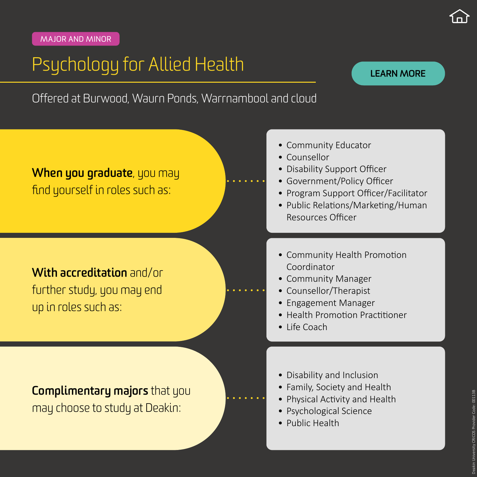## <span id="page-14-0"></span>Psychology for Allied Health

#### **[LEARN MORE](https://www.deakin.edu.au/courses/major/psychology-for-allied-health-bachelor-health-sciences)**

Offered at Burwood, Waurn Ponds, Warrnambool and cloud



**With accreditation** and/or further study, you may end up in roles such as:

- Community Educator
- Counsellor
- Disability Support Officer
- Government/Policy Officer
- Program Support Officer/Facilitator
- Public Relations/Marketing/Human Resources Officer
- Community Health Promotion Coordinator
- Community Manager
- Counsellor/Therapist
- Engagement Manager
- Health Promotion Practitioner
- Life Coach
- Disability and Inclusion
- Family, Society and Health
- Physical Activity and Health
- Psychological Science
- Public Health